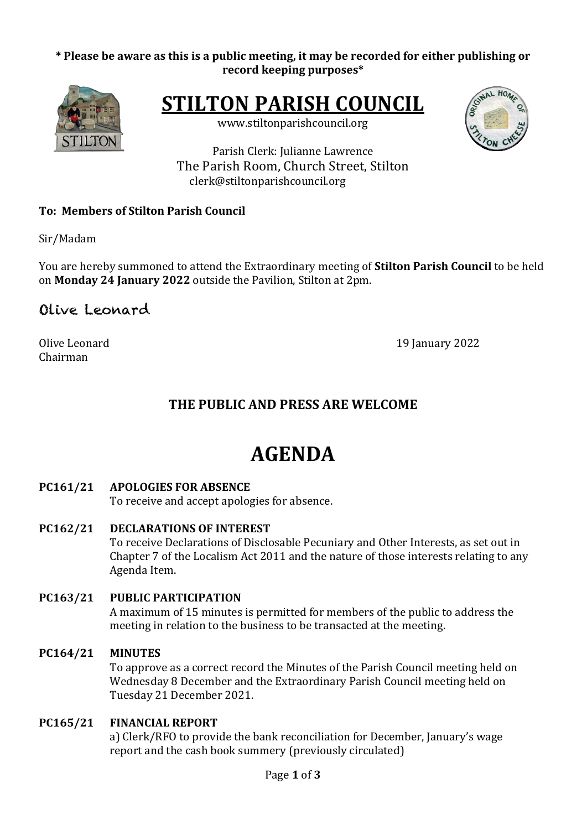#### \* Please be aware as this is a public meeting, it may be recorded for either publishing or **record keeping purposes\***



**STILTON PARISH COUNCIL** 

www.stiltonparishcouncil.org



Parish Clerk: Julianne Lawrence The Parish Room, Church Street, Stilton clerk@stiltonparishcouncil.org

## **To: Members of Stilton Parish Council**

Sir/Madam

You are hereby summoned to attend the Extraordinary meeting of **Stilton Parish Council** to be held on **Monday 24 January 2022** outside the Pavilion, Stilton at 2pm.

# Olive Leonard

Chairman

Olive Leonard 2022

# **THE PUBLIC AND PRESS ARE WELCOME**

# **AGENDA**

## **PC161/21 APOLOGIES FOR ABSENCE**

To receive and accept apologies for absence.

**PC162/21 DECLARATIONS OF INTEREST** 

To receive Declarations of Disclosable Pecuniary and Other Interests, as set out in Chapter 7 of the Localism Act 2011 and the nature of those interests relating to any Agenda Item.

## **PC163/21 PUBLIC PARTICIPATION** A maximum of 15 minutes is permitted for members of the public to address the meeting in relation to the business to be transacted at the meeting.

## **PC164/21 MINUTES**

To approve as a correct record the Minutes of the Parish Council meeting held on Wednesday 8 December and the Extraordinary Parish Council meeting held on Tuesday 21 December 2021.

## **PC165/21 FINANCIAL REPORT**

a) Clerk/RFO to provide the bank reconciliation for December, January's wage report and the cash book summery (previously circulated)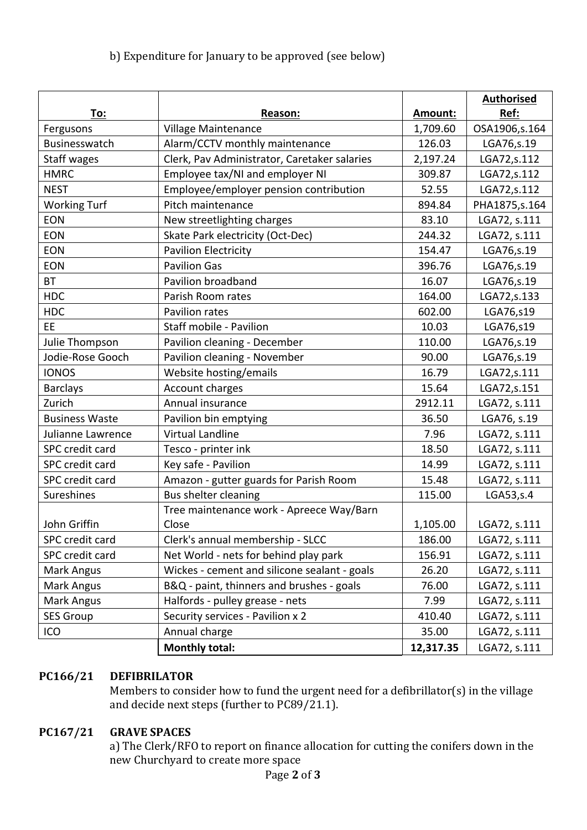# b) Expenditure for January to be approved (see below)

|                       |                                              |           | <b>Authorised</b> |
|-----------------------|----------------------------------------------|-----------|-------------------|
| To:                   | Reason:                                      | Amount:   | Ref:              |
| Fergusons             | Village Maintenance                          | 1,709.60  | OSA1906,s.164     |
| Businesswatch         | Alarm/CCTV monthly maintenance               | 126.03    | LGA76, s.19       |
| <b>Staff wages</b>    | Clerk, Pav Administrator, Caretaker salaries | 2,197.24  | LGA72,s.112       |
| <b>HMRC</b>           | Employee tax/NI and employer NI              | 309.87    | LGA72, s.112      |
| <b>NEST</b>           | Employee/employer pension contribution       | 52.55     | LGA72, s.112      |
| <b>Working Turf</b>   | Pitch maintenance                            | 894.84    | PHA1875, s. 164   |
| <b>EON</b>            | New streetlighting charges                   | 83.10     | LGA72, s.111      |
| <b>EON</b>            | Skate Park electricity (Oct-Dec)             | 244.32    | LGA72, s.111      |
| <b>EON</b>            | <b>Pavilion Electricity</b>                  | 154.47    | LGA76, s.19       |
| EON                   | <b>Pavilion Gas</b>                          | 396.76    | LGA76,s.19        |
| <b>BT</b>             | Pavilion broadband                           | 16.07     | LGA76,s.19        |
| <b>HDC</b>            | Parish Room rates                            | 164.00    | LGA72, s.133      |
| <b>HDC</b>            | Pavilion rates                               | 602.00    | LGA76,s19         |
| EE.                   | Staff mobile - Pavilion                      | 10.03     | LGA76,s19         |
| Julie Thompson        | Pavilion cleaning - December                 | 110.00    | LGA76,s.19        |
| Jodie-Rose Gooch      | Pavilion cleaning - November                 | 90.00     | LGA76,s.19        |
| <b>IONOS</b>          | Website hosting/emails                       | 16.79     | LGA72,s.111       |
| <b>Barclays</b>       | Account charges                              | 15.64     | LGA72, s.151      |
| Zurich                | Annual insurance                             | 2912.11   | LGA72, s.111      |
| <b>Business Waste</b> | Pavilion bin emptying                        | 36.50     | LGA76, s.19       |
| Julianne Lawrence     | Virtual Landline                             | 7.96      | LGA72, s.111      |
| SPC credit card       | Tesco - printer ink                          | 18.50     | LGA72, s.111      |
| SPC credit card       | Key safe - Pavilion                          | 14.99     | LGA72, s.111      |
| SPC credit card       | Amazon - gutter guards for Parish Room       | 15.48     | LGA72, s.111      |
| Sureshines            | Bus shelter cleaning                         | 115.00    | LGA53, s.4        |
|                       | Tree maintenance work - Apreece Way/Barn     |           |                   |
| John Griffin          | Close                                        | 1,105.00  | LGA72, s.111      |
| SPC credit card       | Clerk's annual membership - SLCC             | 186.00    | LGA72, s.111      |
| SPC credit card       | Net World - nets for behind play park        | 156.91    | LGA72, s.111      |
| Mark Angus            | Wickes - cement and silicone sealant - goals | 26.20     | LGA72, s.111      |
| Mark Angus            | B&Q - paint, thinners and brushes - goals    | 76.00     | LGA72, s.111      |
| Mark Angus            | Halfords - pulley grease - nets              | 7.99      | LGA72, s.111      |
| <b>SES Group</b>      | Security services - Pavilion x 2             | 410.40    | LGA72, s.111      |
| ICO                   | Annual charge                                | 35.00     | LGA72, s.111      |
|                       | <b>Monthly total:</b>                        | 12,317.35 | LGA72, s.111      |

# **PC166/21 DEFIBRILATOR**

Members to consider how to fund the urgent need for a defibrillator(s) in the village and decide next steps (further to PC89/21.1).

## **PC167/21 GRAVE SPACES**

a) The Clerk/RFO to report on finance allocation for cutting the conifers down in the new Churchyard to create more space